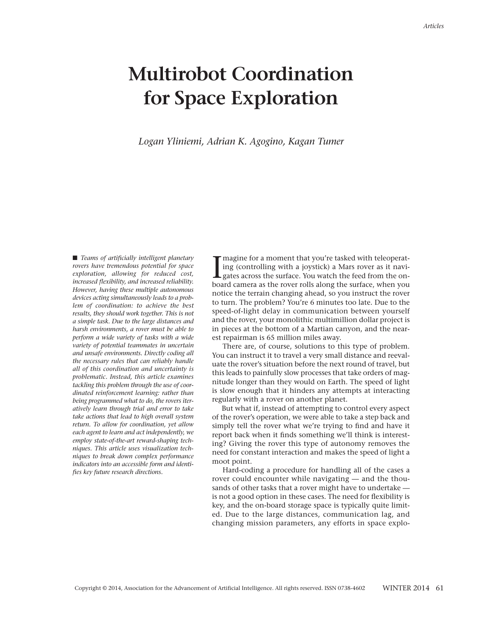# **Multirobot Coordination for Space Exploration**

*Logan Yliniemi, Adrian K. Agogino, Kagan Tumer*

■ *Teams of artificially intelligent planetary rovers have tremendous potential for space exploration, allowing for reduced cost, increased flexibility, and increased reliability. However, having these multiple autonomous devices acting simultaneously leads to a problem of coordination: to achieve the best results, they should work together. This is not a simple task. Due to the large distances and harsh environments, a rover must be able to perform a wide variety of tasks with a wide variety of potential teammates in uncertain and unsafe environments. Directly coding all the necessary rules that can reliably handle all of this coordination and uncertainty is problematic. Instead, this article examines tackling this problem through the use of coordinated reinforcement learning: rather than being programmed what to do, the rovers iteratively learn through trial and error to take take actions that lead to high overall system return. To allow for coordination, yet allow each agent to learn and act independently, we employ state-of-the-art reward-shaping techniques. This article uses visualization techniques to break down complex performance indicators into an accessible form and identifies key future research directions.*

Imagine for a moment that you're tasked with teleoperating (controlling with a joystick) a Mars rover as it navigates across the surface. You watch the feed from the on-<br>hoard camera as the rover rolls along the surface, w magine for a moment that you're tasked with teleoperating (controlling with a joystick) a Mars rover as it naviboard camera as the rover rolls along the surface, when you notice the terrain changing ahead, so you instruct the rover to turn. The problem? You're 6 minutes too late. Due to the speed-of-light delay in communication between yourself and the rover, your monolithic multimillion dollar project is in pieces at the bottom of a Martian canyon, and the nearest repairman is 65 million miles away.

There are, of course, solutions to this type of problem. You can instruct it to travel a very small distance and reevaluate the rover's situation before the next round of travel, but this leads to painfully slow processes that take orders of magnitude longer than they would on Earth. The speed of light is slow enough that it hinders any attempts at interacting regularly with a rover on another planet.

But what if, instead of attempting to control every aspect of the rover's operation, we were able to take a step back and simply tell the rover what we're trying to find and have it report back when it finds something we'll think is interesting? Giving the rover this type of autonomy removes the need for constant interaction and makes the speed of light a moot point.

Hard-coding a procedure for handling all of the cases a rover could encounter while navigating — and the thousands of other tasks that a rover might have to undertake is not a good option in these cases. The need for flexibility is key, and the on-board storage space is typically quite limited. Due to the large distances, communication lag, and changing mission parameters, any efforts in space explo-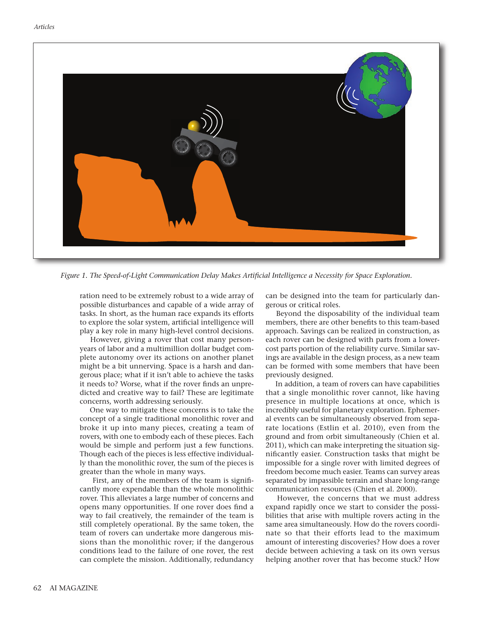

*Figure 1. The Speed-of-Light Communication Delay Makes Artificial Intelligence a Necessity for Space Exploration.*

ration need to be extremely robust to a wide array of possible disturbances and capable of a wide array of tasks. In short, as the human race expands its efforts to explore the solar system, artificial intelligence will play a key role in many high-level control decisions.

However, giving a rover that cost many personyears of labor and a multimillion dollar budget complete autonomy over its actions on another planet might be a bit unnerving. Space is a harsh and dangerous place; what if it isn't able to achieve the tasks it needs to? Worse, what if the rover finds an unpredicted and creative way to fail? These are legitimate concerns, worth addressing seriously.

One way to mitigate these concerns is to take the concept of a single traditional monolithic rover and broke it up into many pieces, creating a team of rovers, with one to embody each of these pieces. Each would be simple and perform just a few functions. Though each of the pieces is less effective individually than the monolithic rover, the sum of the pieces is greater than the whole in many ways.

First, any of the members of the team is significantly more expendable than the whole monolithic rover. This alleviates a large number of concerns and opens many opportunities. If one rover does find a way to fail creatively, the remainder of the team is still completely operational. By the same token, the team of rovers can undertake more dangerous missions than the monolithic rover; if the dangerous conditions lead to the failure of one rover, the rest can complete the mission. Additionally, redundancy can be designed into the team for particularly dangerous or critical roles.

Beyond the disposability of the individual team members, there are other benefits to this team-based approach. Savings can be realized in construction, as each rover can be designed with parts from a lowercost parts portion of the reliability curve. Similar savings are available in the design process, as a new team can be formed with some members that have been previously designed.

In addition, a team of rovers can have capabilities that a single monolithic rover cannot, like having presence in multiple locations at once, which is incredibly useful for planetary exploration. Ephemeral events can be simultaneously observed from separate locations (Estlin et al. 2010), even from the ground and from orbit simultaneously (Chien et al. 2011), which can make interpreting the situation significantly easier. Construction tasks that might be impossible for a single rover with limited degrees of freedom become much easier. Teams can survey areas separated by impassible terrain and share long-range communication resources (Chien et al. 2000).

However, the concerns that we must address expand rapidly once we start to consider the possibilities that arise with multiple rovers acting in the same area simultaneously. How do the rovers coordinate so that their efforts lead to the maximum amount of interesting discoveries? How does a rover decide between achieving a task on its own versus helping another rover that has become stuck? How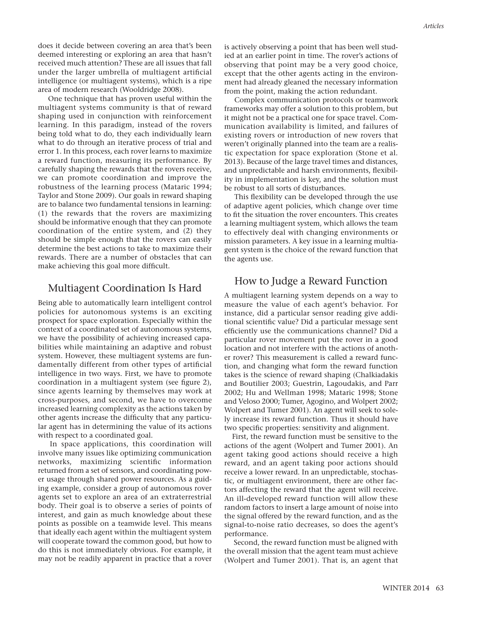does it decide between covering an area that's been deemed interesting or exploring an area that hasn't received much attention? These are all issues that fall under the larger umbrella of multiagent artificial intelligence (or multiagent systems), which is a ripe area of modern research (Wooldridge 2008).

One technique that has proven useful within the multiagent systems community is that of reward shaping used in conjunction with reinforcement learning. In this paradigm, instead of the rovers being told what to do, they each individually learn what to do through an iterative process of trial and error 1. In this process, each rover learns to maximize a reward function, measuring its performance. By carefully shaping the rewards that the rovers receive, we can promote coordination and improve the robustness of the learning process (Mataric 1994; Taylor and Stone 2009). Our goals in reward shaping are to balance two fundamental tensions in learning: (1) the rewards that the rovers are maximizing should be informative enough that they can promote coordination of the entire system, and (2) they should be simple enough that the rovers can easily determine the best actions to take to maximize their rewards. There are a number of obstacles that can make achieving this goal more difficult.

# Multiagent Coordination Is Hard

Being able to automatically learn intelligent control policies for autonomous systems is an exciting prospect for space exploration. Especially within the context of a coordinated set of autonomous systems, we have the possibility of achieving increased capabilities while maintaining an adaptive and robust system. However, these multiagent systems are fundamentally different from other types of artificial intelligence in two ways. First, we have to promote coordination in a multiagent system (see figure 2), since agents learning by themselves may work at cross-purposes, and second, we have to overcome increased learning complexity as the actions taken by other agents increase the difficulty that any particular agent has in determining the value of its actions with respect to a coordinated goal.

In space applications, this coordination will involve many issues like optimizing communication networks, maximizing scientific information returned from a set of sensors, and coordinating power usage through shared power resources. As a guiding example, consider a group of autonomous rover agents set to explore an area of an extraterrestrial body. Their goal is to observe a series of points of interest, and gain as much knowledge about these points as possible on a teamwide level. This means that ideally each agent within the multiagent system will cooperate toward the common good, but how to do this is not immediately obvious. For example, it may not be readily apparent in practice that a rover

is actively observing a point that has been well studied at an earlier point in time. The rover's actions of observing that point may be a very good choice, except that the other agents acting in the environment had already gleaned the necessary information from the point, making the action redundant.

Complex communication protocols or teamwork frameworks may offer a solution to this problem, but it might not be a practical one for space travel. Communication availability is limited, and failures of existing rovers or introduction of new rovers that weren't originally planned into the team are a realistic expectation for space exploration (Stone et al. 2013). Because of the large travel times and distances, and unpredictable and harsh environments, flexibility in implementation is key, and the solution must be robust to all sorts of disturbances.

This flexibility can be developed through the use of adaptive agent policies, which change over time to fit the situation the rover encounters. This creates a learning multiagent system, which allows the team to effectively deal with changing environments or mission parameters. A key issue in a learning multiagent system is the choice of the reward function that the agents use.

# How to Judge a Reward Function

A multiagent learning system depends on a way to measure the value of each agent's behavior. For instance, did a particular sensor reading give additional scientific value? Did a particular message sent efficiently use the communications channel? Did a particular rover movement put the rover in a good location and not interfere with the actions of another rover? This measurement is called a reward function, and changing what form the reward function takes is the science of reward shaping (Chalkiadakis and Boutilier 2003; Guestrin, Lagoudakis, and Parr 2002; Hu and Wellman 1998; Mataric 1998; Stone and Veloso 2000; Tumer, Agogino, and Wolpert 2002; Wolpert and Tumer 2001). An agent will seek to solely increase its reward function. Thus it should have two specific properties: sensitivity and alignment.

First, the reward function must be sensitive to the actions of the agent (Wolpert and Tumer 2001). An agent taking good actions should receive a high reward, and an agent taking poor actions should receive a lower reward. In an unpredictable, stochastic, or multiagent environment, there are other factors affecting the reward that the agent will receive. An ill-developed reward function will allow these random factors to insert a large amount of noise into the signal offered by the reward function, and as the signal-to-noise ratio decreases, so does the agent's performance.

Second, the reward function must be aligned with the overall mission that the agent team must achieve (Wolpert and Tumer 2001). That is, an agent that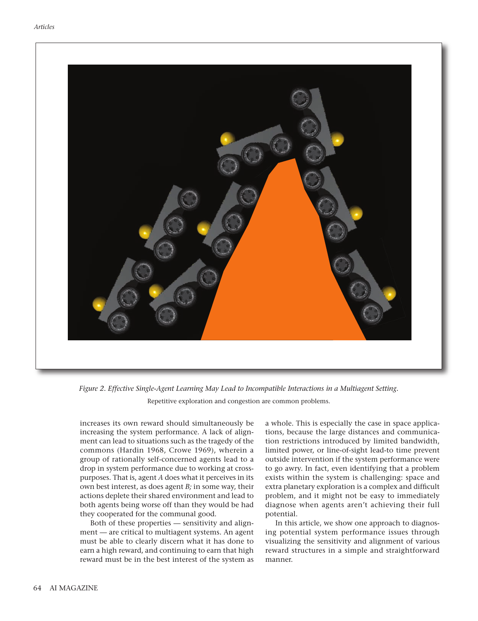

*Figure 2. Effective Single-Agent Learning May Lead to Incompatible Interactions in a Multiagent Setting.* Repetitive exploration and congestion are common problems.

increases its own reward should simultaneously be increasing the system performance. A lack of alignment can lead to situations such as the tragedy of the commons (Hardin 1968, Crowe 1969), wherein a group of rationally self-concerned agents lead to a drop in system performance due to working at crosspurposes. That is, agent *A* does what it perceives in its own best interest, as does agent *B;* in some way, their actions deplete their shared environment and lead to both agents being worse off than they would be had they cooperated for the communal good.

Both of these properties — sensitivity and alignment — are critical to multiagent systems. An agent must be able to clearly discern what it has done to earn a high reward, and continuing to earn that high reward must be in the best interest of the system as a whole. This is especially the case in space applications, because the large distances and communication restrictions introduced by limited bandwidth, limited power, or line-of-sight lead-to time prevent outside intervention if the system performance were to go awry. In fact, even identifying that a problem exists within the system is challenging: space and extra planetary exploration is a complex and difficult problem, and it might not be easy to immediately diagnose when agents aren't achieving their full potential.

In this article, we show one approach to diagnosing potential system performance issues through visualizing the sensitivity and alignment of various reward structures in a simple and straightforward manner.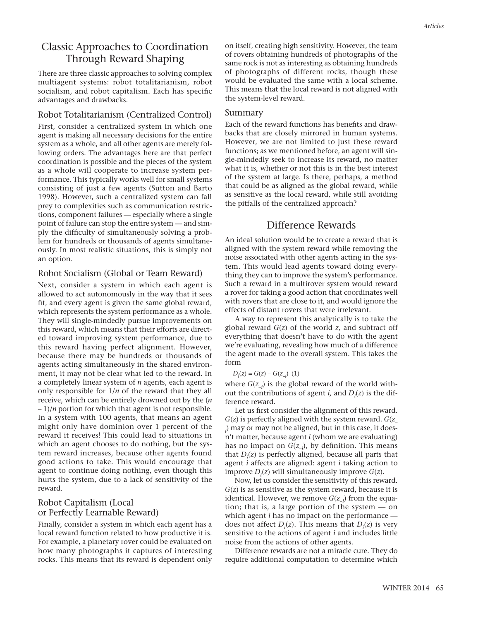# Classic Approaches to Coordination Through Reward Shaping

There are three classic approaches to solving complex multiagent systems: robot totalitarianism, robot socialism, and robot capitalism. Each has specific advantages and drawbacks.

#### Robot Totalitarianism (Centralized Control)

First, consider a centralized system in which one agent is making all necessary decisions for the entire system as a whole, and all other agents are merely following orders. The advantages here are that perfect coordination is possible and the pieces of the system as a whole will cooperate to increase system performance. This typically works well for small systems consisting of just a few agents (Sutton and Barto 1998). However, such a centralized system can fall prey to complexities such as communication restrictions, component failures — especially where a single point of failure can stop the entire system — and simply the difficulty of simultaneously solving a problem for hundreds or thousands of agents simultaneously. In most realistic situations, this is simply not an option.

#### Robot Socialism (Global or Team Reward)

Next, consider a system in which each agent is allowed to act autonomously in the way that it sees fit, and every agent is given the same global reward, which represents the system performance as a whole. They will single-mindedly pursue improvements on this reward, which means that their efforts are directed toward improving system performance, due to this reward having perfect alignment. However, because there may be hundreds or thousands of agents acting simultaneously in the shared environment, it may not be clear what led to the reward. In a completely linear system of *n* agents, each agent is only responsible for 1/*n* of the reward that they all receive, which can be entirely drowned out by the (*n* – 1)/*n* portion for which that agent is not responsible. In a system with 100 agents, that means an agent might only have dominion over 1 percent of the reward it receives! This could lead to situations in which an agent chooses to do nothing, but the system reward increases, because other agents found good actions to take. This would encourage that agent to continue doing nothing, even though this hurts the system, due to a lack of sensitivity of the reward.

#### Robot Capitalism (Local or Perfectly Learnable Reward)

Finally, consider a system in which each agent has a local reward function related to how productive it is. For example, a planetary rover could be evaluated on how many photographs it captures of interesting rocks. This means that its reward is dependent only on itself, creating high sensitivity. However, the team of rovers obtaining hundreds of photographs of the same rock is not as interesting as obtaining hundreds of photographs of different rocks, though these would be evaluated the same with a local scheme. This means that the local reward is not aligned with the system-level reward.

#### Summary

Each of the reward functions has benefits and drawbacks that are closely mirrored in human systems. However, we are not limited to just these reward functions; as we mentioned before, an agent will single-mindedly seek to increase its reward, no matter what it is, whether or not this is in the best interest of the system at large. Is there, perhaps, a method that could be as aligned as the global reward, while as sensitive as the local reward, while still avoiding the pitfalls of the centralized approach?

## Difference Rewards

An ideal solution would be to create a reward that is aligned with the system reward while removing the noise associated with other agents acting in the system. This would lead agents toward doing everything they can to improve the system's performance. Such a reward in a multirover system would reward a rover for taking a good action that coordinates well with rovers that are close to it, and would ignore the effects of distant rovers that were irrelevant.

A way to represent this analytically is to take the global reward *G*(*z*) of the world *z,* and subtract off everything that doesn't have to do with the agent we're evaluating, revealing how much of a difference the agent made to the overall system. This takes the form

 $D_i(z) = G(z) - G(z_{-i})$  (1)

where *G*(*z*–*<sup>i</sup>* ) is the global reward of the world without the contributions of agent *i*, and  $D_i(z)$  is the difference reward.

Let us first consider the alignment of this reward. *G*(*z*) is perfectly aligned with the system reward. *G*(*z*– *i* ) may or may not be aligned, but in this case, it doesn't matter, because agent *i* (whom we are evaluating) has no impact on *G*(*z*–*<sup>i</sup>* ), by definition. This means that  $D_i(z)$  is perfectly aligned, because all parts that agent *i* affects are aligned: agent *i* taking action to improve *Di* (*z*) will simultaneously improve *G*(*z*).

Now, let us consider the sensitivity of this reward. *G*(*z*) is as sensitive as the system reward, because it is identical. However, we remove *G*(*z*–*<sup>i</sup>* ) from the equation; that is, a large portion of the system — on which agent *i* has no impact on the performance does not affect  $D_i(z)$ . This means that  $D_i(z)$  is very sensitive to the actions of agent *i* and includes little noise from the actions of other agents.

Difference rewards are not a miracle cure. They do require additional computation to determine which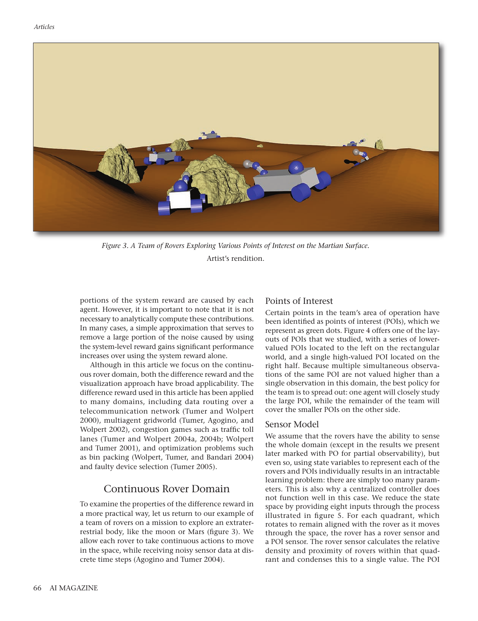

*Figure 3. A Team of Rovers Exploring Various Points of Interest on the Martian Surface.*  Artist's rendition.

portions of the system reward are caused by each agent. However, it is important to note that it is not necessary to analytically compute these contributions. In many cases, a simple approximation that serves to remove a large portion of the noise caused by using the system-level reward gains significant performance increases over using the system reward alone.

Although in this article we focus on the continuous rover domain, both the difference reward and the visualization approach have broad applicability. The difference reward used in this article has been applied to many domains, including data routing over a telecommunication network (Tumer and Wolpert 2000), multiagent gridworld (Tumer, Agogino, and Wolpert 2002), congestion games such as traffic toll lanes (Tumer and Wolpert 2004a, 2004b; Wolpert and Tumer 2001), and optimization problems such as bin packing (Wolpert, Tumer, and Bandari 2004) and faulty device selection (Tumer 2005).

# Continuous Rover Domain

To examine the properties of the difference reward in a more practical way, let us return to our example of a team of rovers on a mission to explore an extraterrestrial body, like the moon or Mars (figure 3). We allow each rover to take continuous actions to move in the space, while receiving noisy sensor data at discrete time steps (Agogino and Tumer 2004).

#### Points of Interest

Certain points in the team's area of operation have been identified as points of interest (POIs), which we represent as green dots. Figure 4 offers one of the layouts of POIs that we studied, with a series of lowervalued POIs located to the left on the rectangular world, and a single high-valued POI located on the right half. Because multiple simultaneous observations of the same POI are not valued higher than a single observation in this domain, the best policy for the team is to spread out: one agent will closely study the large POI, while the remainder of the team will cover the smaller POIs on the other side.

#### Sensor Model

We assume that the rovers have the ability to sense the whole domain (except in the results we present later marked with PO for partial observability), but even so, using state variables to represent each of the rovers and POIs individually results in an intractable learning problem: there are simply too many parameters. This is also why a centralized controller does not function well in this case. We reduce the state space by providing eight inputs through the process illustrated in figure 5. For each quadrant, which rotates to remain aligned with the rover as it moves through the space, the rover has a rover sensor and a POI sensor. The rover sensor calculates the relative density and proximity of rovers within that quadrant and condenses this to a single value. The POI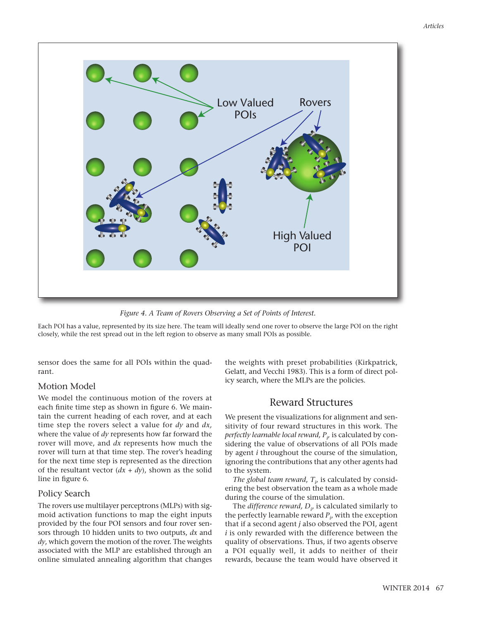

*Figure 4. A Team of Rovers Observing a Set of Points of Interest.* 

Each POI has a value, represented by its size here. The team will ideally send one rover to observe the large POI on the right closely, while the rest spread out in the left region to observe as many small POIs as possible.

sensor does the same for all POIs within the quadrant.

## Motion Model

We model the continuous motion of the rovers at each finite time step as shown in figure 6. We maintain the current heading of each rover, and at each time step the rovers select a value for *dy* and *dx,* where the value of *dy* represents how far forward the rover will move, and *dx* represents how much the rover will turn at that time step. The rover's heading for the next time step is represented as the direction of the resultant vector  $(dx + dy)$ , shown as the solid line in figure 6.

### Policy Search

The rovers use multilayer perceptrons (MLPs) with sigmoid activation functions to map the eight inputs provided by the four POI sensors and four rover sensors through 10 hidden units to two outputs, *dx* and *dy*, which govern the motion of the rover. The weights associated with the MLP are established through an online simulated annealing algorithm that changes the weights with preset probabilities (Kirkpatrick, Gelatt, and Vecchi 1983). This is a form of direct policy search, where the MLPs are the policies.

# Reward Structures

We present the visualizations for alignment and sensitivity of four reward structures in this work. The *perfectly learnable local reward, Pi ,* is calculated by considering the value of observations of all POIs made by agent *i* throughout the course of the simulation, ignoring the contributions that any other agents had to the system.

*The global team reward, T<sub>i</sub>, is calculated by consid*ering the best observation the team as a whole made during the course of the simulation.

The *difference reward, D<sub>i</sub>,* is calculated similarly to the perfectly learnable reward  $P_{i\prime}$  with the exception that if a second agent *j* also observed the POI, agent *i* is only rewarded with the difference between the quality of observations. Thus, if two agents observe a POI equally well, it adds to neither of their rewards, because the team would have observed it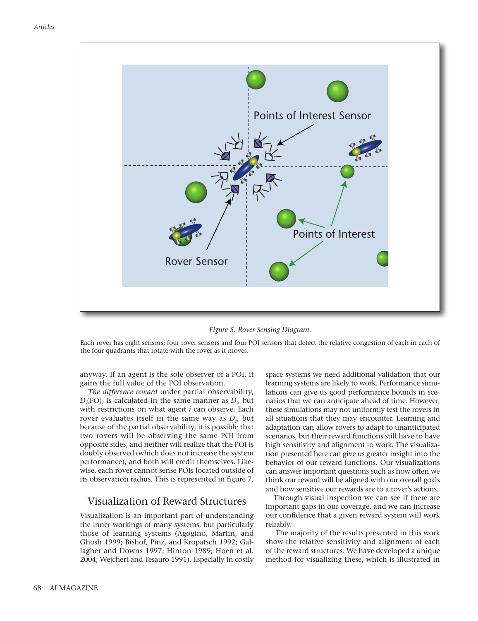

*Figure 5. Rover Sensing Diagram.*

Each rover has eight sensors: four rover sensors and four POI sensors that detect the relative congestion of each in each of the four quadrants that rotate with the rover as it moves.

anyway. If an agent is the sole observer of a POI, it gains the full value of the POI observation.

*The difference reward* under partial observability,  $D_i$ (PO), is calculated in the same manner as  $D_i$ , but with restrictions on what agent *i* can observe. Each rover evaluates itself in the same way as *Di* , but because of the partial observability, it is possible that two rovers will be observing the same POI from opposite sides, and neither will realize that the POI is doubly observed (which does not increase the system performance), and both will credit themselves. Likewise, each rover cannot sense POIs located outside of its observation radius. This is represented in figure 7.

## Visualization of Reward Structures

Visualization is an important part of understanding the inner workings of many systems, but particularly those of learning systems (Agogino, Martin, and Ghosh 1999; Bishof, Pinz, and Kropatsch 1992; Gallagher and Downs 1997; Hinton 1989; Hoen et al. 2004; Wejchert and Tesauro 1991). Especially in costly space systems we need additional validation that our learning systems are likely to work. Performance simulations can give us good performance bounds in scenarios that we can anticipate ahead of time. However, these simulations may not uniformly test the rovers in all situations that they may encounter. Learning and adaptation can allow rovers to adapt to unanticipated scenarios, but their reward functions still have to have high sensitivity and alignment to work. The visualization presented here can give us greater insight into the behavior of our reward functions. Our visualizations can answer important questions such as how often we think our reward will be aligned with our overall goals and how sensitive our rewards are to a rover's actions.

Through visual inspection we can see if there are important gaps in our coverage, and we can increase our confidence that a given reward system will work reliably.

The majority of the results presented in this work show the relative sensitivity and alignment of each of the reward structures. We have developed a unique method for visualizing these, which is illustrated in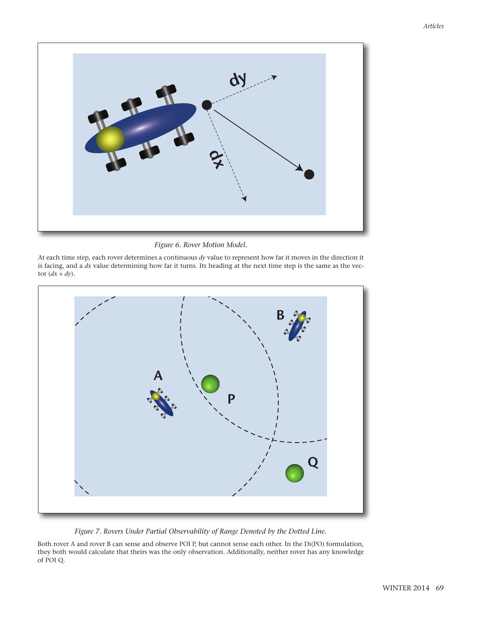

*Figure 6. Rover Motion Model.*

At each time step, each rover determines a continuous *dy* value to represent how far it moves in the direction it is facing, and a *dx* value determining how far it turns. Its heading at the next time step is the same as the vector (*dx + dy*).



*Figure 7. Rovers Under Partial Observability of Range Denoted by the Dotted Line.* 

Both rover A and rover B can sense and observe POI P, but cannot sense each other. In the Di(PO) formulation, they both would calculate that theirs was the only observation. Additionally, neither rover has any knowledge of POI Q.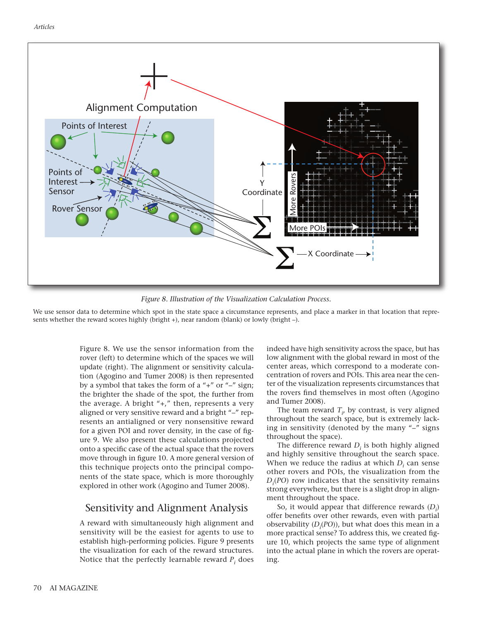*Articles*

Rover Sensor Points of Interest Sensor Points of Interest ers<br>
More Rover<br>
More POIs<br>
More POIs Alignment Computation X Coordinate Y Coordinate

*Figure 8. Illustration of the Visualization Calculation Process.* 

We use sensor data to determine which spot in the state space a circumstance represents, and place a marker in that location that represents whether the reward scores highly (bright +), near random (blank) or lowly (bright –).

> Figure 8. We use the sensor information from the rover (left) to determine which of the spaces we will update (right). The alignment or sensitivity calculation (Agogino and Tumer 2008) is then represented by a symbol that takes the form of a "+" or "–" sign; the brighter the shade of the spot, the further from the average. A bright "+," then, represents a very aligned or very sensitive reward and a bright "–" represents an antialigned or very nonsensitive reward for a given POI and rover density, in the case of figure 9. We also present these calculations projected onto a specific case of the actual space that the rovers move through in figure 10. A more general version of this technique projects onto the principal components of the state space, which is more thoroughly explored in other work (Agogino and Tumer 2008).

# Sensitivity and Alignment Analysis

A reward with simultaneously high alignment and sensitivity will be the easiest for agents to use to establish high-performing policies. Figure 9 presents the visualization for each of the reward structures. Notice that the perfectly learnable reward  $P_i$  does indeed have high sensitivity across the space, but has low alignment with the global reward in most of the center areas, which correspond to a moderate concentration of rovers and POIs. This area near the center of the visualization represents circumstances that the rovers find themselves in most often (Agogino and Tumer 2008).

The team reward  $T_{i}$ , by contrast, is very aligned throughout the search space, but is extremely lacking in sensitivity (denoted by the many "–" signs throughout the space).

The difference reward  $D_i$  is both highly aligned and highly sensitive throughout the search space. When we reduce the radius at which *D<sub>i</sub>* can sense other rovers and POIs, the visualization from the *Di* (*PO*) row indicates that the sensitivity remains strong everywhere, but there is a slight drop in alignment throughout the space.

So, it would appear that difference rewards  $(D_i)$ offer benefits over other rewards, even with partial observability (*Di* (*PO*)), but what does this mean in a more practical sense? To address this, we created figure 10, which projects the same type of alignment into the actual plane in which the rovers are operating.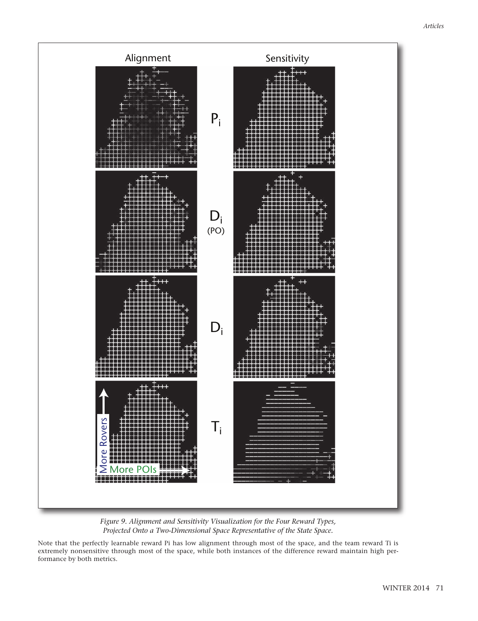

*Figure 9. Alignment and Sensitivity Visualization for the Four Reward Types, Projected Onto a Two-Dimensional Space Representative of the State Space.*

Note that the perfectly learnable reward Pi has low alignment through most of the space, and the team reward Ti is extremely nonsensitive through most of the space, while both instances of the difference reward maintain high performance by both metrics.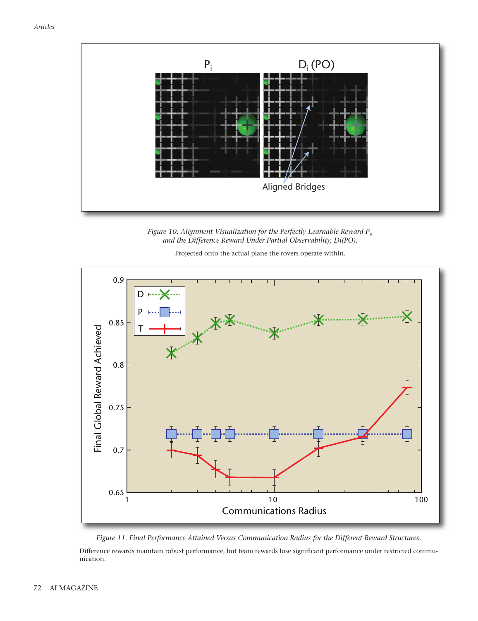

*Figure 10. Alignment Visualization for the Perfectly Learnable Reward Pi , and the Difference Reward Under Partial Observability, Di(PO).* 





*Figure 11. Final Performance Attained Versus Communication Radius for the Different Reward Structures.* 

Difference rewards maintain robust performance, but team rewards lose significant performance under restricted communication.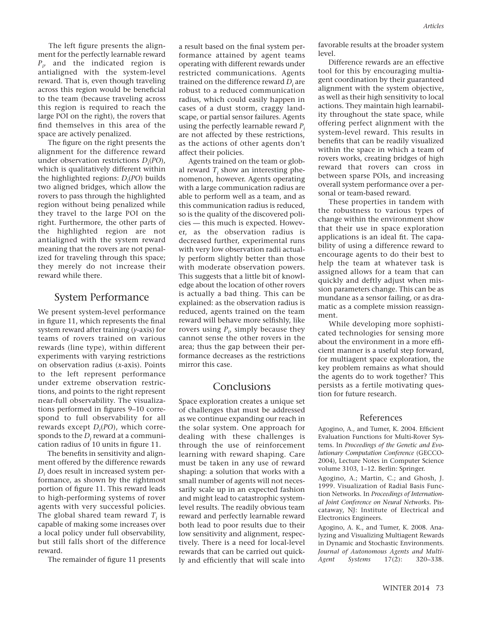The left figure presents the alignment for the perfectly learnable reward *Pi* , and the indicated region is antialigned with the system-level reward. That is, even though traveling across this region would be beneficial to the team (because traveling across this region is required to reach the large POI on the right), the rovers that find themselves in this area of the space are actively penalized.

The figure on the right presents the alignment for the difference reward under observation restrictions *Di* (*PO*), which is qualitatively different within the highlighted regions: *Di* (*PO*) builds two aligned bridges, which allow the rovers to pass through the highlighted region without being penalized while they travel to the large POI on the right. Furthermore, the other parts of the highlighted region are not antialigned with the system reward meaning that the rovers are not penalized for traveling through this space; they merely do not increase their reward while there.

## System Performance

We present system-level performance in figure 11, which represents the final system reward after training (*y*-axis) for teams of rovers trained on various rewards (line type), within different experiments with varying restrictions on observation radius (*x*-axis). Points to the left represent performance under extreme observation restrictions, and points to the right represent near-full observability. The visualizations performed in figures 9–10 correspond to full observability for all rewards except *Di* (*PO*), which corresponds to the *D*<sub>*i*</sub> reward at a communication radius of 10 units in figure 11.

The benefits in sensitivity and alignment offered by the difference rewards *Di* does result in increased system performance, as shown by the rightmost portion of figure 11. This reward leads to high-performing systems of rover agents with very successful policies. The global shared team reward  $T_i$  is capable of making some increases over a local policy under full observability, but still falls short of the difference reward.

The remainder of figure 11 presents

a result based on the final system performance attained by agent teams operating with different rewards under restricted communications. Agents trained on the difference reward *Di* are robust to a reduced communication radius, which could easily happen in cases of a dust storm, craggy landscape, or partial sensor failures. Agents using the perfectly learnable reward *Pi* are not affected by these restrictions, as the actions of other agents don't affect their policies.

Agents trained on the team or global reward  $T_i$  show an interesting phenomenon, however. Agents operating with a large communication radius are able to perform well as a team, and as this communication radius is reduced, so is the quality of the discovered policies — this much is expected. However, as the observation radius is decreased further, experimental runs with very low observation radii actually perform slightly better than those with moderate observation powers. This suggests that a little bit of knowledge about the location of other rovers is actually a bad thing. This can be explained: as the observation radius is reduced, agents trained on the team reward will behave more selfishly, like rovers using  $P_i$ , simply because they cannot sense the other rovers in the area; thus the gap between their performance decreases as the restrictions mirror this case.

# Conclusions

Space exploration creates a unique set of challenges that must be addressed as we continue expanding our reach in the solar system. One approach for dealing with these challenges is through the use of reinforcement learning with reward shaping. Care must be taken in any use of reward shaping: a solution that works with a small number of agents will not necessarily scale up in an expected fashion and might lead to catastrophic systemlevel results. The readily obvious team reward and perfectly learnable reward both lead to poor results due to their low sensitivity and alignment, respectively. There is a need for local-level rewards that can be carried out quickly and efficiently that will scale into

favorable results at the broader system level.

Difference rewards are an effective tool for this by encouraging multiagent coordination by their guaranteed alignment with the system objective, as well as their high sensitivity to local actions. They maintain high learnability throughout the state space, while offering perfect alignment with the system-level reward. This results in benefits that can be readily visualized within the space in which a team of rovers works, creating bridges of high reward that rovers can cross in between sparse POIs, and increasing overall system performance over a personal or team-based reward.

These properties in tandem with the robustness to various types of change within the environment show that their use in space exploration applications is an ideal fit. The capability of using a difference reward to encourage agents to do their best to help the team at whatever task is assigned allows for a team that can quickly and deftly adjust when mission parameters change. This can be as mundane as a sensor failing, or as dramatic as a complete mission reassignment.

While developing more sophisticated technologies for sensing more about the environment in a more efficient manner is a useful step forward, for multiagent space exploration, the key problem remains as what should the agents do to work together? This persists as a fertile motivating question for future research.

#### References

Agogino, A., and Tumer, K. 2004. Efficient Evaluation Functions for Multi-Rover Systems. In *Proceedings of the Genetic and Evolutionary Computation Conference* (GECCO-2004), Lecture Notes in Computer Science volume 3103, 1–12. Berlin: Springer.

Agogino, A.; Martin, C.; and Ghosh, J. 1999. Visualization of Radial Basis Function Networks. In *Proceedings of International Joint Conference on Neural Networks.* Piscataway, NJ: Institute of Electrical and Electronics Engineers.

Agogino, A. K., and Tumer, K. 2008. Analyzing and Visualizing Multiagent Rewards in Dynamic and Stochastic Environments. *Journal of Autonomous Agents and Multi-Agent Systems* 17(2): 320–338.